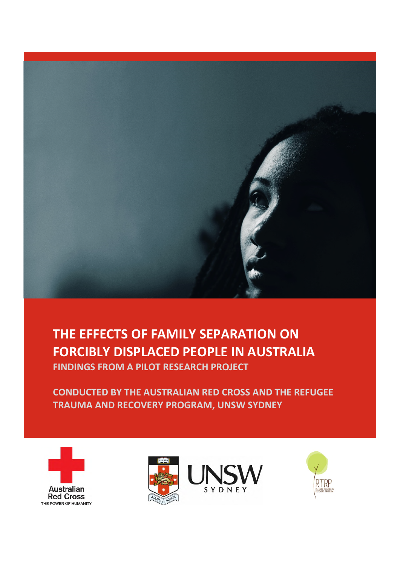

# **THE EFFECTS OF FAMILY SEPARATION ON FORCIBLY DISPLACED PEOPLE IN AUSTRALIA FINDINGS FROM A PILOT RESEARCH PROJECT**

**CONDUCTED BY THE AUSTRALIAN RED CROSS AND THE REFUGEE TRAUMA AND RECOVERY PROGRAM, UNSW SYDNEY**





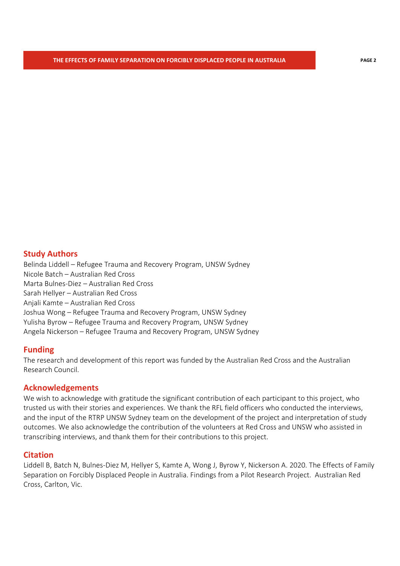## **Study Authors**

Belinda Liddell – Refugee Trauma and Recovery Program, UNSW Sydney Nicole Batch – Australian Red Cross Marta Bulnes-Diez – Australian Red Cross Sarah Hellyer – Australian Red Cross Anjali Kamte – Australian Red Cross Joshua Wong – Refugee Trauma and Recovery Program, UNSW Sydney Yulisha Byrow – Refugee Trauma and Recovery Program, UNSW Sydney Angela Nickerson – Refugee Trauma and Recovery Program, UNSW Sydney

### **Funding**

The research and development of this report was funded by the Australian Red Cross and the Australian Research Council.

### **Acknowledgements**

We wish to acknowledge with gratitude the significant contribution of each participant to this project, who trusted us with their stories and experiences. We thank the RFL field officers who conducted the interviews, and the input of the RTRP UNSW Sydney team on the development of the project and interpretation of study outcomes. We also acknowledge the contribution of the volunteers at Red Cross and UNSW who assisted in transcribing interviews, and thank them for their contributions to this project.

#### **Citation**

Liddell B, Batch N, Bulnes-Diez M, Hellyer S, Kamte A, Wong J, Byrow Y, Nickerson A. 2020. The Effects of Family Separation on Forcibly Displaced People in Australia. Findings from a Pilot Research Project. Australian Red Cross, Carlton, Vic.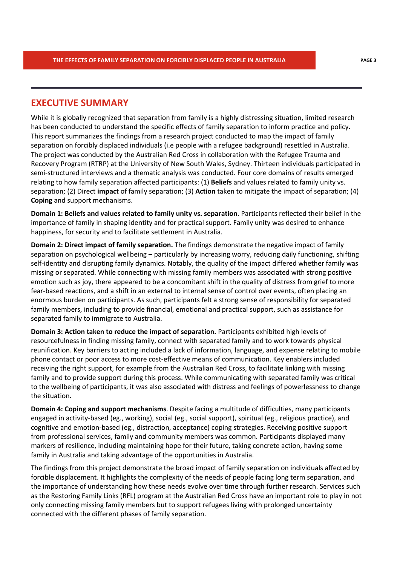## **EXECUTIVE SUMMARY**

While it is globally recognized that separation from family is a highly distressing situation, limited research has been conducted to understand the specific effects of family separation to inform practice and policy. This report summarizes the findings from a research project conducted to map the impact of family separation on forcibly displaced individuals (i.e people with a refugee background) resettled in Australia. The project was conducted by the Australian Red Cross in collaboration with the Refugee Trauma and Recovery Program (RTRP) at the University of New South Wales, Sydney. Thirteen individuals participated in semi-structured interviews and a thematic analysis was conducted. Four core domains of results emerged relating to how family separation affected participants: (1) **Beliefs** and values related to family unity vs. separation; (2) Direct **impact** of family separation; (3) **Action** taken to mitigate the impact of separation; (4) **Coping** and support mechanisms.

**Domain 1: Beliefs and values related to family unity vs. separation.** Participants reflected their belief in the importance of family in shaping identity and for practical support. Family unity was desired to enhance happiness, for security and to facilitate settlement in Australia.

**Domain 2: Direct impact of family separation.** The findings demonstrate the negative impact of family separation on psychological wellbeing – particularly by increasing worry, reducing daily functioning, shifting self-identity and disrupting family dynamics. Notably, the quality of the impact differed whether family was missing or separated. While connecting with missing family members was associated with strong positive emotion such as joy, there appeared to be a concomitant shift in the quality of distress from grief to more fear-based reactions, and a shift in an external to internal sense of control over events, often placing an enormous burden on participants. As such, participants felt a strong sense of responsibility for separated family members, including to provide financial, emotional and practical support, such as assistance for separated family to immigrate to Australia.

**Domain 3: Action taken to reduce the impact of separation.** Participants exhibited high levels of resourcefulness in finding missing family, connect with separated family and to work towards physical reunification. Key barriers to acting included a lack of information, language, and expense relating to mobile phone contact or poor access to more cost-effective means of communication. Key enablers included receiving the right support, for example from the Australian Red Cross, to facilitate linking with missing family and to provide support during this process. While communicating with separated family was critical to the wellbeing of participants, it was also associated with distress and feelings of powerlessness to change the situation.

**Domain 4: Coping and support mechanisms**. Despite facing a multitude of difficulties, many participants engaged in activity-based (eg., working), social (eg., social support), spiritual (eg., religious practice), and cognitive and emotion-based (eg., distraction, acceptance) coping strategies. Receiving positive support from professional services, family and community members was common. Participants displayed many markers of resilience, including maintaining hope for their future, taking concrete action, having some family in Australia and taking advantage of the opportunities in Australia.

The findings from this project demonstrate the broad impact of family separation on individuals affected by forcible displacement. It highlights the complexity of the needs of people facing long term separation, and the importance of understanding how these needs evolve over time through further research. Services such as the Restoring Family Links (RFL) program at the Australian Red Cross have an important role to play in not only connecting missing family members but to support refugees living with prolonged uncertainty connected with the different phases of family separation.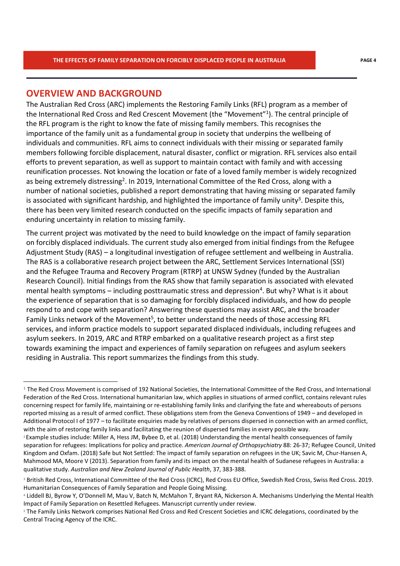## **OVERVIEW AND BACKGROUND**

The Australian Red Cross (ARC) implements the Restoring Family Links (RFL) program as a member of the International Red Cross and Red Crescent Movement (the "Movement"<sup>1</sup>). The central principle of the RFL program is the right to know the fate of missing family members. This recognises the importance of the family unit as a fundamental group in society that underpins the wellbeing of individuals and communities. RFL aims to connect individuals with their missing or separated family members following forcible displacement, natural disaster, conflict or migration. RFL services also entail efforts to prevent separation, as well as support to maintain contact with family and with accessing reunification processes. Not knowing the location or fate of a loved family member is widely recognized as being extremely distressing<sup>2</sup>. In 2019, International Committee of the Red Cross, along with a number of national societies, published a report demonstrating that having missing or separated family is associated with significant hardship, and highlighted the importance of family unity<sup>3</sup>. Despite this, there has been very limited research conducted on the specific impacts of family separation and enduring uncertainty in relation to missing family.

The current project was motivated by the need to build knowledge on the impact of family separation on forcibly displaced individuals. The current study also emerged from initial findings from the Refugee Adjustment Study (RAS) – a longitudinal investigation of refugee settlement and wellbeing in Australia. The RAS is a collaborative research project between the ARC, Settlement Services International (SSI) and the Refugee Trauma and Recovery Program (RTRP) at UNSW Sydney (funded by the Australian Research Council). Initial findings from the RAS show that family separation is associated with elevated mental health symptoms  $-$  including posttraumatic stress and depression<sup>4</sup>. But why? What is it about the experience of separation that is so damaging for forcibly displaced individuals, and how do people respond to and cope with separation? Answering these questions may assist ARC, and the broader Family Links network of the Movement<sup>5</sup>, to better understand the needs of those accessing RFL services, and inform practice models to support separated displaced individuals, including refugees and asylum seekers. In 2019, ARC and RTRP embarked on a qualitative research project as a first step towards examining the impact and experiences of family separation on refugees and asylum seekers residing in Australia. This report summarizes the findings from this study.

<sup>&</sup>lt;sup>1</sup> The Red Cross Movement is comprised of 192 National Societies, the International Committee of the Red Cross, and International Federation of the Red Cross. International humanitarian law, which applies in situations of armed conflict, contains relevant rules concerning respect for family life, maintaining or re-establishing family links and clarifying the fate and whereabouts of persons reported missing as a result of armed conflict. These obligations stem from the Geneva Conventions of 1949 – and developed in Additional Protocol I of 1977 – to facilitate enquiries made by relatives of persons dispersed in connection with an armed conflict, with the aim of restoring family links and facilitating the reunion of dispersed families in every possible way.

<sup>&</sup>lt;sup>2</sup> Example studies include: Miller A, Hess JM, Bybee D, et al. (2018) Understanding the mental health consequences of family separation for refugees: Implications for policy and practice. *American Journal of Orthopsychiatry* 88: 26-37; Refugee Council, United Kingdom and Oxfam. (2018) Safe but Not Settled: The impact of family separation on refugees in the UK; Savic M, Chur-Hansen A, Mahmood MA, Moore V (2013). Separation from family and its impact on the mental health of Sudanese refugees in Australia: a qualitative study. *Australian and New Zealand Journal of Public Health*, 37, 383-388.

British Red Cross, International Committee of the Red Cross (ICRC), Red Cross EU Office, Swedish Red Cross, Swiss Red Cross. 2019. Humanitarian Consequences of Family Separation and People Going Missing.

<sup>4</sup> Liddell BJ, Byrow Y, O'Donnell M, Mau V, Batch N, McMahon T, Bryant RA, Nickerson A. Mechanisms Underlying the Mental Health Impact of Family Separation on Resettled Refugees. Manuscript currently under review.

<sup>5</sup> The Family Links Network comprises National Red Cross and Red Crescent Societies and ICRC delegations, coordinated by the Central Tracing Agency of the ICRC.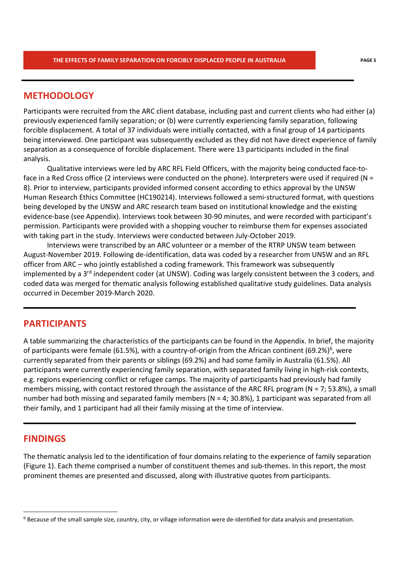## **METHODOLOGY**

Participants were recruited from the ARC client database, including past and current clients who had either (a) previously experienced family separation; or (b) were currently experiencing family separation, following forcible displacement. A total of 37 individuals were initially contacted, with a final group of 14 participants being interviewed. One participant was subsequently excluded as they did not have direct experience of family separation as a consequence of forcible displacement. There were 13 participants included in the final analysis.

Qualitative interviews were led by ARC RFL Field Officers, with the majority being conducted face-toface in a Red Cross office (2 interviews were conducted on the phone). Interpreters were used if required (N = 8). Prior to interview, participants provided informed consent according to ethics approval by the UNSW Human Research Ethics Committee (HC190214). Interviews followed a semi-structured format, with questions being developed by the UNSW and ARC research team based on institutional knowledge and the existing evidence-base (see Appendix). Interviews took between 30-90 minutes, and were recorded with participant's permission. Participants were provided with a shopping voucher to reimburse them for expenses associated with taking part in the study. Interviews were conducted between July-October 2019.

Interviews were transcribed by an ARC volunteer or a member of the RTRP UNSW team between August-November 2019. Following de-identification, data was coded by a researcher from UNSW and an RFL officer from ARC – who jointly established a coding framework. This framework was subsequently implemented by a 3<sup>rd</sup> independent coder (at UNSW). Coding was largely consistent between the 3 coders, and coded data was merged for thematic analysis following established qualitative study guidelines. Data analysis occurred in December 2019-March 2020.

## **PARTICIPANTS**

A table summarizing the characteristics of the participants can be found in the Appendix. In brief, the majority of participants were female (61.5%), with a country-of-origin from the African continent (69.2%)<sup>6</sup>, were currently separated from their parents or siblings (69.2%) and had some family in Australia (61.5%). All participants were currently experiencing family separation, with separated family living in high-risk contexts, e.g. regions experiencing conflict or refugee camps. The majority of participants had previously had family members missing, with contact restored through the assistance of the ARC RFL program (N = 7; 53.8%), a small number had both missing and separated family members ( $N = 4$ ; 30.8%), 1 participant was separated from all their family, and 1 participant had all their family missing at the time of interview.

## **FINDINGS**

The thematic analysis led to the identification of four domains relating to the experience of family separation (Figure 1). Each theme comprised a number of constituent themes and sub-themes. In this report, the most prominent themes are presented and discussed, along with illustrative quotes from participants.

<sup>&</sup>lt;sup>6</sup> Because of the small sample size, country, city, or village information were de-identified for data analysis and presentation.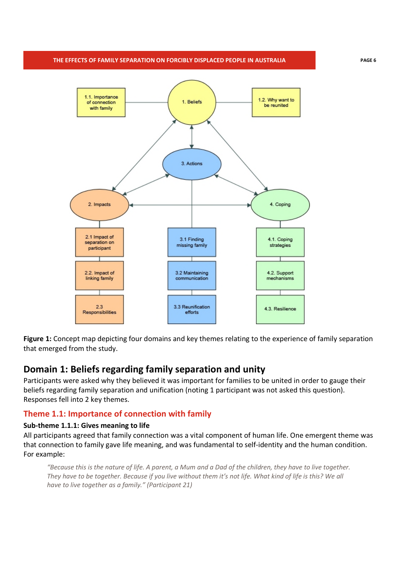

**Figure 1:** Concept map depicting four domains and key themes relating to the experience of family separation that emerged from the study.

## **Domain 1: Beliefs regarding family separation and unity**

Participants were asked why they believed it was important for families to be united in order to gauge their beliefs regarding family separation and unification (noting 1 participant was not asked this question). Responses fell into 2 key themes.

## **Theme 1.1: Importance of connection with family**

### **Sub-theme 1.1.1: Gives meaning to life**

All participants agreed that family connection was a vital component of human life. One emergent theme was that connection to family gave life meaning, and was fundamental to self-identity and the human condition. For example:

*"Because this is the nature of life. A parent, a Mum and a Dad of the children, they have to live together. They have to be together. Because if you live without them it's not life. What kind of life is this? We all have to live together as a family." (Participant 21)*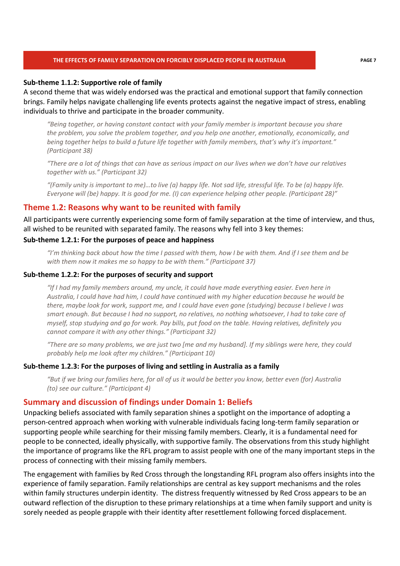#### **Sub-theme 1.1.2: Supportive role of family**

A second theme that was widely endorsed was the practical and emotional support that family connection brings. Family helps navigate challenging life events protects against the negative impact of stress, enabling individuals to thrive and participate in the broader community.

*"Being together, or having constant contact with your family member is important because you share the problem, you solve the problem together, and you help one another, emotionally, economically, and being together helps to build a future life together with family members, that's why it's important." (Participant 38)* 

*"There are a lot of things that can have as serious impact on our lives when we don't have our relatives together with us." (Participant 32)* 

*"(Family unity is important to me)…to live (a) happy life. Not sad life, stressful life. To be (a) happy life. Everyone will (be) happy. It is good for me. (I) can experience helping other people. (Participant 28)"* 

### **Theme 1.2: Reasons why want to be reunited with family**

All participants were currently experiencing some form of family separation at the time of interview, and thus, all wished to be reunited with separated family. The reasons why fell into 3 key themes:

#### **Sub-theme 1.2.1: For the purposes of peace and happiness**

*"I'm thinking back about how the time I passed with them, how I be with them. And if I see them and be with them now it makes me so happy to be with them." (Participant 37)* 

#### **Sub-theme 1.2.2: For the purposes of security and support**

*"If I had my family members around, my uncle, it could have made everything easier. Even here in Australia, I could have had him, I could have continued with my higher education because he would be there, maybe look for work, support me, and I could have even gone (studying) because I believe I was smart enough. But because I had no support, no relatives, no nothing whatsoever, I had to take care of myself, stop studying and go for work. Pay bills, put food on the table. Having relatives, definitely you cannot compare it with any other things." (Participant 32)* 

*"There are so many problems, we are just two [me and my husband]. If my siblings were here, they could probably help me look after my children." (Participant 10)* 

#### **Sub-theme 1.2.3: For the purposes of living and settling in Australia as a family**

*"But if we bring our families here, for all of us it would be better you know, better even (for) Australia (to) see our culture." (Participant 4)* 

### **Summary and discussion of findings under Domain 1: Beliefs**

Unpacking beliefs associated with family separation shines a spotlight on the importance of adopting a person-centred approach when working with vulnerable individuals facing long-term family separation or supporting people while searching for their missing family members. Clearly, it is a fundamental need for people to be connected, ideally physically, with supportive family. The observations from this study highlight the importance of programs like the RFL program to assist people with one of the many important steps in the process of connecting with their missing family members.

The engagement with families by Red Cross through the longstanding RFL program also offers insights into the experience of family separation. Family relationships are central as key support mechanisms and the roles within family structures underpin identity. The distress frequently witnessed by Red Cross appears to be an outward reflection of the disruption to these primary relationships at a time when family support and unity is sorely needed as people grapple with their identity after resettlement following forced displacement.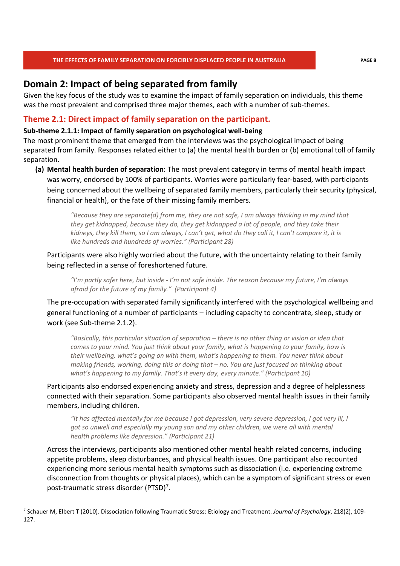## **Domain 2: Impact of being separated from family**

Given the key focus of the study was to examine the impact of family separation on individuals, this theme was the most prevalent and comprised three major themes, each with a number of sub-themes.

## **Theme 2.1: Direct impact of family separation on the participant.**

#### **Sub-theme 2.1.1: Impact of family separation on psychological well-being**

The most prominent theme that emerged from the interviews was the psychological impact of being separated from family. Responses related either to (a) the mental health burden or (b) emotional toll of family separation.

**(a) Mental health burden of separation**: The most prevalent category in terms of mental health impact was worry, endorsed by 100% of participants. Worries were particularly fear-based, with participants being concerned about the wellbeing of separated family members, particularly their security (physical, financial or health), or the fate of their missing family members.

> *"Because they are separate(d) from me, they are not safe, I am always thinking in my mind that they get kidnapped, because they do, they get kidnapped a lot of people, and they take their kidneys, they kill them, so I am always, I can't get, what do they call it, I can't compare it, it is like hundreds and hundreds of worries." (Participant 28)*

Participants were also highly worried about the future, with the uncertainty relating to their family being reflected in a sense of foreshortened future.

*"I'm partly safer here, but inside - I'm not safe inside. The reason because my future, I'm always afraid for the future of my family." (Participant 4)* 

The pre-occupation with separated family significantly interfered with the psychological wellbeing and general functioning of a number of participants – including capacity to concentrate, sleep, study or work (see Sub-theme 2.1.2).

*"Basically, this particular situation of separation – there is no other thing or vision or idea that comes to your mind. You just think about your family, what is happening to your family, how is their wellbeing, what's going on with them, what's happening to them. You never think about making friends, working, doing this or doing that – no. You are just focused on thinking about what's happening to my family. That's it every day, every minute." (Participant 10)* 

Participants also endorsed experiencing anxiety and stress, depression and a degree of helplessness connected with their separation. Some participants also observed mental health issues in their family members, including children.

*"It has affected mentally for me because I got depression, very severe depression, I got very ill, I got so unwell and especially my young son and my other children, we were all with mental health problems like depression." (Participant 21)* 

Across the interviews, participants also mentioned other mental health related concerns, including appetite problems, sleep disturbances, and physical health issues. One participant also recounted experiencing more serious mental health symptoms such as dissociation (i.e. experiencing extreme disconnection from thoughts or physical places), which can be a symptom of significant stress or even post-traumatic stress disorder (PTSD)<sup>7</sup>.

<sup>7</sup> Schauer M, Elbert T (2010). Dissociation following Traumatic Stress: Etiology and Treatment. *Journal of Psychology*, 218(2), 109- 127.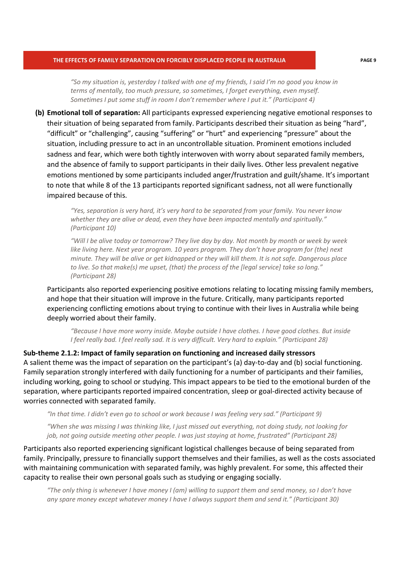*"So my situation is, yesterday I talked with one of my friends, I said I'm no good you know in terms of mentally, too much pressure, so sometimes, I forget everything, even myself. Sometimes I put some stuff in room I don't remember where I put it." (Participant 4)* 

**(b) Emotional toll of separation:** All participants expressed experiencing negative emotional responses to their situation of being separated from family. Participants described their situation as being "hard", "difficult" or "challenging", causing "suffering" or "hurt" and experiencing "pressure" about the situation, including pressure to act in an uncontrollable situation. Prominent emotions included sadness and fear, which were both tightly interwoven with worry about separated family members, and the absence of family to support participants in their daily lives. Other less prevalent negative emotions mentioned by some participants included anger/frustration and guilt/shame. It's important to note that while 8 of the 13 participants reported significant sadness, not all were functionally impaired because of this.

> *"Yes, separation is very hard, it's very hard to be separated from your family. You never know whether they are alive or dead, even they have been impacted mentally and spiritually." (Participant 10)*

*"Will I be alive today or tomorrow? They live day by day. Not month by month or week by week like living here. Next year program. 10 years program. They don't have program for (the) next minute. They will be alive or get kidnapped or they will kill them. It is not safe. Dangerous place to live. So that make(s) me upset, (that) the process of the [legal service] take so long." (Participant 28)* 

Participants also reported experiencing positive emotions relating to locating missing family members, and hope that their situation will improve in the future. Critically, many participants reported experiencing conflicting emotions about trying to continue with their lives in Australia while being deeply worried about their family.

*"Because I have more worry inside. Maybe outside I have clothes. I have good clothes. But inside I feel really bad. I feel really sad. It is very difficult. Very hard to explain." (Participant 28)* 

**Sub-theme 2.1.2: Impact of family separation on functioning and increased daily stressors**  A salient theme was the impact of separation on the participant's (a) day-to-day and (b) social functioning. Family separation strongly interfered with daily functioning for a number of participants and their families, including working, going to school or studying. This impact appears to be tied to the emotional burden of the separation, where participants reported impaired concentration, sleep or goal-directed activity because of worries connected with separated family.

*"In that time. I didn't even go to school or work because I was feeling very sad." (Participant 9)* 

*"When she was missing I was thinking like, I just missed out everything, not doing study, not looking for job, not going outside meeting other people. I was just staying at home, frustrated" (Participant 28)* 

Participants also reported experiencing significant logistical challenges because of being separated from family. Principally, pressure to financially support themselves and their families, as well as the costs associated with maintaining communication with separated family, was highly prevalent. For some, this affected their capacity to realise their own personal goals such as studying or engaging socially.

*"The only thing is whenever I have money I (am) willing to support them and send money, so I don't have any spare money except whatever money I have I always support them and send it." (Participant 30)*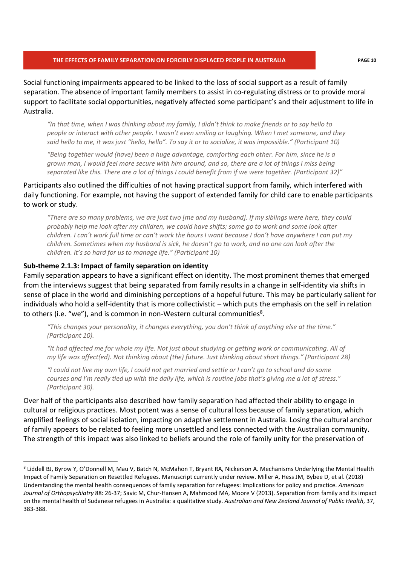Social functioning impairments appeared to be linked to the loss of social support as a result of family separation. The absence of important family members to assist in co-regulating distress or to provide moral support to facilitate social opportunities, negatively affected some participant's and their adjustment to life in Australia.

*"In that time, when I was thinking about my family, I didn't think to make friends or to say hello to people or interact with other people. I wasn't even smiling or laughing. When I met someone, and they said hello to me, it was just "hello, hello". To say it or to socialize, it was impossible." (Participant 10)* 

*"Being together would (have) been a huge advantage, comforting each other. For him, since he is a grown man, I would feel more secure with him around, and so, there are a lot of things I miss being separated like this. There are a lot of things I could benefit from if we were together. (Participant 32)"* 

Participants also outlined the difficulties of not having practical support from family, which interfered with daily functioning. For example, not having the support of extended family for child care to enable participants to work or study.

*"There are so many problems, we are just two [me and my husband]. If my siblings were here, they could probably help me look after my children, we could have shifts; some go to work and some look after children. I can't work full time or can't work the hours I want because I don't have anywhere I can put my children. Sometimes when my husband is sick, he doesn't go to work, and no one can look after the children. It's so hard for us to manage life." (Participant 10)* 

#### **Sub-theme 2.1.3: Impact of family separation on identity**

Family separation appears to have a significant effect on identity. The most prominent themes that emerged from the interviews suggest that being separated from family results in a change in self-identity via shifts in sense of place in the world and diminishing perceptions of a hopeful future. This may be particularly salient for individuals who hold a self-identity that is more collectivistic – which puts the emphasis on the self in relation to others (i.e. "we"), and is common in non-Western cultural communities $8$ .

*"This changes your personality, it changes everything, you don't think of anything else at the time." (Participant 10).* 

*"It had affected me for whole my life. Not just about studying or getting work or communicating. All of my life was affect(ed). Not thinking about (the) future. Just thinking about short things." (Participant 28)* 

*"I could not live my own life, I could not get married and settle or I can't go to school and do some courses and I'm really tied up with the daily life, which is routine jobs that's giving me a lot of stress." (Participant 30).* 

Over half of the participants also described how family separation had affected their ability to engage in cultural or religious practices. Most potent was a sense of cultural loss because of family separation, which amplified feelings of social isolation, impacting on adaptive settlement in Australia. Losing the cultural anchor of family appears to be related to feeling more unsettled and less connected with the Australian community. The strength of this impact was also linked to beliefs around the role of family unity for the preservation of

<sup>8</sup> Liddell BJ, Byrow Y, O'Donnell M, Mau V, Batch N, McMahon T, Bryant RA, Nickerson A. Mechanisms Underlying the Mental Health Impact of Family Separation on Resettled Refugees. Manuscript currently under review. Miller A, Hess JM, Bybee D, et al. (2018) Understanding the mental health consequences of family separation for refugees: Implications for policy and practice. *American Journal of Orthopsychiatry* 88: 26-37; Savic M, Chur-Hansen A, Mahmood MA, Moore V (2013). Separation from family and its impact on the mental health of Sudanese refugees in Australia: a qualitative study. *Australian and New Zealand Journal of Public Health*, 37, 383-388.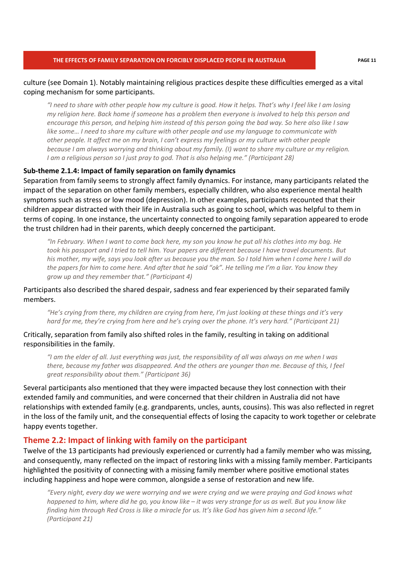#### culture (see Domain 1). Notably maintaining religious practices despite these difficulties emerged as a vital coping mechanism for some participants.

*"I need to share with other people how my culture is good. How it helps. That's why I feel like I am losing my religion here. Back home if someone has a problem then everyone is involved to help this person and encourage this person, and helping him instead of this person going the bad way. So here also like I saw like some… I need to share my culture with other people and use my language to communicate with other people. It affect me on my brain, I can't express my feelings or my culture with other people because I am always worrying and thinking about my family. (I) want to share my culture or my religion. I am a religious person so I just pray to god. That is also helping me." (Participant 28)*

#### **Sub-theme 2.1.4: Impact of family separation on family dynamics**

Separation from family seems to strongly affect family dynamics. For instance, many participants related the impact of the separation on other family members, especially children, who also experience mental health symptoms such as stress or low mood (depression). In other examples, participants recounted that their children appear distracted with their life in Australia such as going to school, which was helpful to them in terms of coping. In one instance, the uncertainty connected to ongoing family separation appeared to erode the trust children had in their parents, which deeply concerned the participant.

*"In February. When I want to come back here, my son you know he put all his clothes into my bag. He took his passport and I tried to tell him. Your papers are different because I have travel documents. But his mother, my wife, says you look after us because you the man. So I told him when I come here I will do the papers for him to come here. And after that he said "ok". He telling me I'm a liar. You know they grow up and they remember that." (Participant 4)* 

Participants also described the shared despair, sadness and fear experienced by their separated family members.

*"He's crying from there, my children are crying from here, I'm just looking at these things and it's very hard for me, they're crying from here and he's crying over the phone. It's very hard." (Participant 21)* 

### Critically, separation from family also shifted roles in the family, resulting in taking on additional responsibilities in the family.

*"I am the elder of all. Just everything was just, the responsibility of all was always on me when I was there, because my father was disappeared. And the others are younger than me. Because of this, I feel great responsibility about them." (Participant 36)* 

Several participants also mentioned that they were impacted because they lost connection with their extended family and communities, and were concerned that their children in Australia did not have relationships with extended family (e.g. grandparents, uncles, aunts, cousins). This was also reflected in regret in the loss of the family unit, and the consequential effects of losing the capacity to work together or celebrate happy events together.

#### **Theme 2.2: Impact of linking with family on the participant**

Twelve of the 13 participants had previously experienced or currently had a family member who was missing, and consequently, many reflected on the impact of restoring links with a missing family member. Participants highlighted the positivity of connecting with a missing family member where positive emotional states including happiness and hope were common, alongside a sense of restoration and new life.

*"Every night, every day we were worrying and we were crying and we were praying and God knows what happened to him, where did he go, you know like – it was very strange for us as well. But you know like finding him through Red Cross is like a miracle for us. It's like God has given him a second life." (Participant 21)*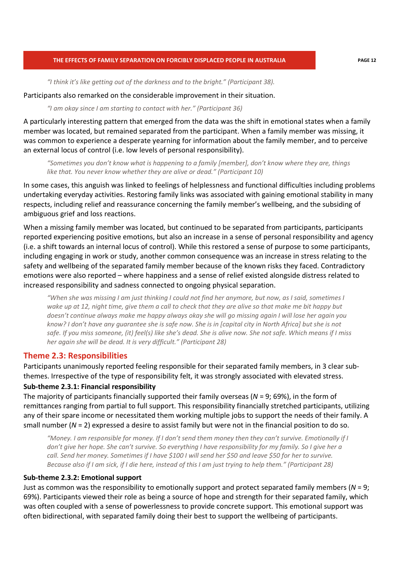*"I think it's like getting out of the darkness and to the bright." (Participant 38).* 

Participants also remarked on the considerable improvement in their situation.

*"I am okay since I am starting to contact with her." (Participant 36)* 

A particularly interesting pattern that emerged from the data was the shift in emotional states when a family member was located, but remained separated from the participant. When a family member was missing, it was common to experience a desperate yearning for information about the family member, and to perceive an external locus of control (i.e. low levels of personal responsibility).

*"Sometimes you don't know what is happening to a family [member], don't know where they are, things like that. You never know whether they are alive or dead." (Participant 10)* 

In some cases, this anguish was linked to feelings of helplessness and functional difficulties including problems undertaking everyday activities. Restoring family links was associated with gaining emotional stability in many respects, including relief and reassurance concerning the family member's wellbeing, and the subsiding of ambiguous grief and loss reactions.

When a missing family member was located, but continued to be separated from participants, participants reported experiencing positive emotions, but also an increase in a sense of personal responsibility and agency (i.e. a shift towards an internal locus of control). While this restored a sense of purpose to some participants, including engaging in work or study, another common consequence was an increase in stress relating to the safety and wellbeing of the separated family member because of the known risks they faced. Contradictory emotions were also reported – where happiness and a sense of relief existed alongside distress related to increased responsibility and sadness connected to ongoing physical separation.

*"When she was missing I am just thinking I could not find her anymore, but now, as I said, sometimes I wake up at 12, night time, give them a call to check that they are alive so that make me bit happy but doesn't continue always make me happy always okay she will go missing again I will lose her again you know? I don't have any guarantee she is safe now. She is in [capital city in North Africa] but she is not safe. If you miss someone, (it) feel(s) like she's dead. She is alive now. She not safe. Which means if I miss her again she will be dead. It is very difficult." (Participant 28)* 

### **Theme 2.3: Responsibilities**

Participants unanimously reported feeling responsible for their separated family members, in 3 clear subthemes. Irrespective of the type of responsibility felt, it was strongly associated with elevated stress.

### **Sub-theme 2.3.1: Financial responsibility**

The majority of participants financially supported their family overseas (*N* = 9; 69%), in the form of remittances ranging from partial to full support. This responsibility financially stretched participants, utilizing any of their spare income or necessitated them working multiple jobs to support the needs of their family. A small number (*N* = 2) expressed a desire to assist family but were not in the financial position to do so.

*"Money. I am responsible for money. If I don't send them money then they can't survive. Emotionally if I don't give her hope. She can't survive. So everything I have responsibility for my family. So I give her a call. Send her money. Sometimes if I have \$100 I will send her \$50 and leave \$50 for her to survive. Because also if I am sick, if I die here, instead of this I am just trying to help them." (Participant 28)* 

#### **Sub-theme 2.3.2: Emotional support**

Just as common was the responsibility to emotionally support and protect separated family members (*N* = 9; 69%). Participants viewed their role as being a source of hope and strength for their separated family, which was often coupled with a sense of powerlessness to provide concrete support. This emotional support was often bidirectional, with separated family doing their best to support the wellbeing of participants.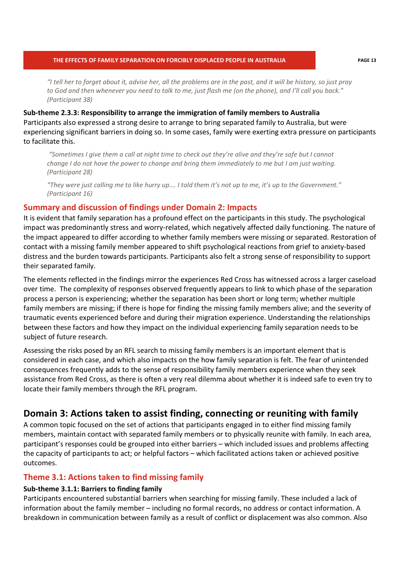*"I tell her to forget about it, advise her, all the problems are in the past, and it will be history, so just pray to God and then whenever you need to talk to me, just flash me (on the phone), and I'll call you back." (Participant 38)* 

**Sub-theme 2.3.3: Responsibility to arrange the immigration of family members to Australia**  Participants also expressed a strong desire to arrange to bring separated family to Australia, but were experiencing significant barriers in doing so. In some cases, family were exerting extra pressure on participants to facilitate this.

*"Sometimes I give them a call at night time to check out they're alive and they're safe but I cannot change I do not have the power to change and bring them immediately to me but I am just waiting. (Participant 28)*

*"They were just calling me to like hurry up…. I told them it's not up to me, it's up to the Government." (Participant 16)* 

### **Summary and discussion of findings under Domain 2: Impacts**

It is evident that family separation has a profound effect on the participants in this study. The psychological impact was predominantly stress and worry-related, which negatively affected daily functioning. The nature of the impact appeared to differ according to whether family members were missing or separated. Restoration of contact with a missing family member appeared to shift psychological reactions from grief to anxiety-based distress and the burden towards participants. Participants also felt a strong sense of responsibility to support their separated family.

The elements reflected in the findings mirror the experiences Red Cross has witnessed across a larger caseload over time. The complexity of responses observed frequently appears to link to which phase of the separation process a person is experiencing; whether the separation has been short or long term; whether multiple family members are missing; if there is hope for finding the missing family members alive; and the severity of traumatic events experienced before and during their migration experience. Understanding the relationships between these factors and how they impact on the individual experiencing family separation needs to be subject of future research.

Assessing the risks posed by an RFL search to missing family members is an important element that is considered in each case, and which also impacts on the how family separation is felt. The fear of unintended consequences frequently adds to the sense of responsibility family members experience when they seek assistance from Red Cross, as there is often a very real dilemma about whether it is indeed safe to even try to locate their family members through the RFL program.

## **Domain 3: Actions taken to assist finding, connecting or reuniting with family**

A common topic focused on the set of actions that participants engaged in to either find missing family members, maintain contact with separated family members or to physically reunite with family. In each area, participant's responses could be grouped into either barriers – which included issues and problems affecting the capacity of participants to act; or helpful factors – which facilitated actions taken or achieved positive outcomes.

## **Theme 3.1: Actions taken to find missing family**

### **Sub-theme 3.1.1: Barriers to finding family**

Participants encountered substantial barriers when searching for missing family. These included a lack of information about the family member – including no formal records, no address or contact information. A breakdown in communication between family as a result of conflict or displacement was also common. Also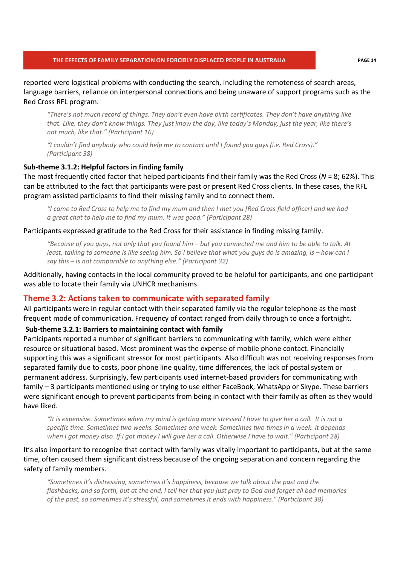reported were logistical problems with conducting the search, including the remoteness of search areas, language barriers, reliance on interpersonal connections and being unaware of support programs such as the Red Cross RFL program.

*"There's not much record of things. They don't even have birth certificates. They don't have anything like that. Like, they don't know things. They just know the day, like today's Monday, just the year, like there's not much, like that." (Participant 16)* 

*"I couldn't find anybody who could help me to contact until I found you guys (i.e. Red Cross)." (Participant 38)* 

#### **Sub-theme 3.1.2: Helpful factors in finding family**

The most frequently cited factor that helped participants find their family was the Red Cross (*N* = 8; 62%). This can be attributed to the fact that participants were past or present Red Cross clients. In these cases, the RFL program assisted participants to find their missing family and to connect them.

*"I came to Red Cross to help me to find my mum and then I met you [Red Cross field officer] and we had a great chat to help me to find my mum. It was good." (Participant 28)* 

#### Participants expressed gratitude to the Red Cross for their assistance in finding missing family.

*"Because of you guys, not only that you found him – but you connected me and him to be able to talk. At least, talking to someone is like seeing him. So I believe that what you guys do is amazing, is – how can I say this – is not comparable to anything else." (Participant 32)* 

Additionally, having contacts in the local community proved to be helpful for participants, and one participant was able to locate their family via UNHCR mechanisms.

#### **Theme 3.2: Actions taken to communicate with separated family**

All participants were in regular contact with their separated family via the regular telephone as the most frequent mode of communication. Frequency of contact ranged from daily through to once a fortnight.

#### **Sub-theme 3.2.1: Barriers to maintaining contact with family**

Participants reported a number of significant barriers to communicating with family, which were either resource or situational based. Most prominent was the expense of mobile phone contact. Financially supporting this was a significant stressor for most participants. Also difficult was not receiving responses from separated family due to costs, poor phone line quality, time differences, the lack of postal system or permanent address. Surprisingly, few participants used internet-based providers for communicating with family – 3 participants mentioned using or trying to use either FaceBook, WhatsApp or Skype. These barriers were significant enough to prevent participants from being in contact with their family as often as they would have liked.

*"It is expensive. Sometimes when my mind is getting more stressed I have to give her a call. It is not a specific time. Sometimes two weeks. Sometimes one week. Sometimes two times in a week. It depends when I got money also. If I got money I will give her a call. Otherwise I have to wait." (Participant 28)* 

It's also important to recognize that contact with family was vitally important to participants, but at the same time, often caused them significant distress because of the ongoing separation and concern regarding the safety of family members.

*"Sometimes it's distressing, sometimes it's happiness, because we talk about the past and the flashbacks, and so forth, but at the end, I tell her that you just pray to God and forget all bad memories of the past, so sometimes it's stressful, and sometimes it ends with happiness." (Participant 38)*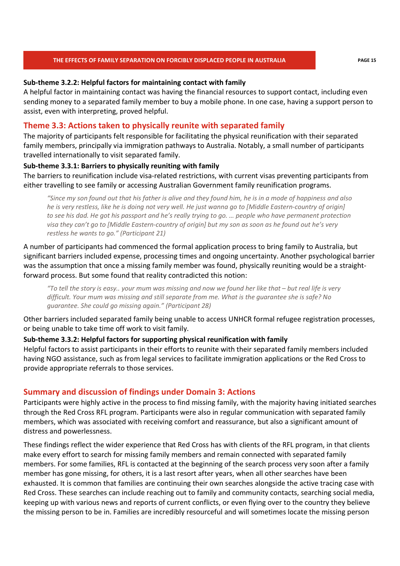#### **Sub-theme 3.2.2: Helpful factors for maintaining contact with family**

A helpful factor in maintaining contact was having the financial resources to support contact, including even sending money to a separated family member to buy a mobile phone. In one case, having a support person to assist, even with interpreting, proved helpful.

## **Theme 3.3: Actions taken to physically reunite with separated family**

The majority of participants felt responsible for facilitating the physical reunification with their separated family members, principally via immigration pathways to Australia. Notably, a small number of participants travelled internationally to visit separated family.

#### **Sub-theme 3.3.1: Barriers to physically reuniting with family**

The barriers to reunification include visa-related restrictions, with current visas preventing participants from either travelling to see family or accessing Australian Government family reunification programs.

*"Since my son found out that his father is alive and they found him, he is in a mode of happiness and also he is very restless, like he is doing not very well. He just wanna go to [Middle Eastern-country of origin] to see his dad. He got his passport and he's really trying to go. … people who have permanent protection visa they can't go to [Middle Eastern-country of origin] but my son as soon as he found out he's very restless he wants to go." (Participant 21)* 

A number of participants had commenced the formal application process to bring family to Australia, but significant barriers included expense, processing times and ongoing uncertainty. Another psychological barrier was the assumption that once a missing family member was found, physically reuniting would be a straightforward process. But some found that reality contradicted this notion:

*"To tell the story is easy.. your mum was missing and now we found her like that – but real life is very difficult. Your mum was missing and still separate from me. What is the guarantee she is safe? No guarantee. She could go missing again." (Participant 28)* 

Other barriers included separated family being unable to access UNHCR formal refugee registration processes, or being unable to take time off work to visit family.

### **Sub-theme 3.3.2: Helpful factors for supporting physical reunification with family**

Helpful factors to assist participants in their efforts to reunite with their separated family members included having NGO assistance, such as from legal services to facilitate immigration applications or the Red Cross to provide appropriate referrals to those services.

## **Summary and discussion of findings under Domain 3: Actions**

Participants were highly active in the process to find missing family, with the majority having initiated searches through the Red Cross RFL program. Participants were also in regular communication with separated family members, which was associated with receiving comfort and reassurance, but also a significant amount of distress and powerlessness.

These findings reflect the wider experience that Red Cross has with clients of the RFL program, in that clients make every effort to search for missing family members and remain connected with separated family members. For some families, RFL is contacted at the beginning of the search process very soon after a family member has gone missing, for others, it is a last resort after years, when all other searches have been exhausted. It is common that families are continuing their own searches alongside the active tracing case with Red Cross. These searches can include reaching out to family and community contacts, searching social media, keeping up with various news and reports of current conflicts, or even flying over to the country they believe the missing person to be in. Families are incredibly resourceful and will sometimes locate the missing person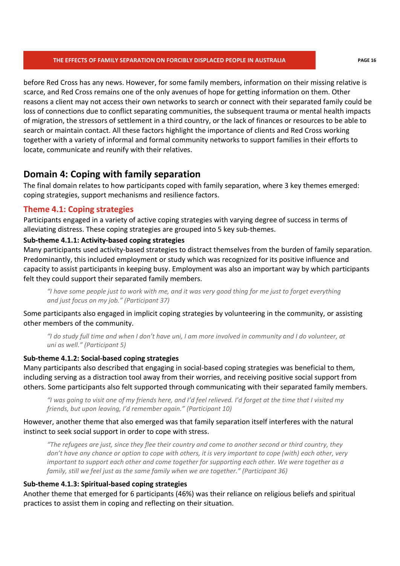before Red Cross has any news. However, for some family members, information on their missing relative is scarce, and Red Cross remains one of the only avenues of hope for getting information on them. Other reasons a client may not access their own networks to search or connect with their separated family could be loss of connections due to conflict separating communities, the subsequent trauma or mental health impacts of migration, the stressors of settlement in a third country, or the lack of finances or resources to be able to search or maintain contact. All these factors highlight the importance of clients and Red Cross working together with a variety of informal and formal community networks to support families in their efforts to locate, communicate and reunify with their relatives.

## **Domain 4: Coping with family separation**

The final domain relates to how participants coped with family separation, where 3 key themes emerged: coping strategies, support mechanisms and resilience factors.

## **Theme 4.1: Coping strategies**

Participants engaged in a variety of active coping strategies with varying degree of success in terms of alleviating distress. These coping strategies are grouped into 5 key sub-themes.

## **Sub-theme 4.1.1: Activity-based coping strategies**

Many participants used activity-based strategies to distract themselves from the burden of family separation. Predominantly, this included employment or study which was recognized for its positive influence and capacity to assist participants in keeping busy. Employment was also an important way by which participants felt they could support their separated family members.

*"I have some people just to work with me, and it was very good thing for me just to forget everything and just focus on my job." (Participant 37)* 

Some participants also engaged in implicit coping strategies by volunteering in the community, or assisting other members of the community.

*"I do study full time and when I don't have uni, I am more involved in community and I do volunteer, at uni as well." (Participant 5)* 

## **Sub-theme 4.1.2: Social-based coping strategies**

Many participants also described that engaging in social-based coping strategies was beneficial to them, including serving as a distraction tool away from their worries, and receiving positive social support from others. Some participants also felt supported through communicating with their separated family members.

*"I was going to visit one of my friends here, and I'd feel relieved. I'd forget at the time that I visited my friends, but upon leaving, I'd remember again." (Participant 10)* 

## However, another theme that also emerged was that family separation itself interferes with the natural instinct to seek social support in order to cope with stress.

*"The refugees are just, since they flee their country and come to another second or third country, they don't have any chance or option to cope with others, it is very important to cope (with) each other, very important to support each other and come together for supporting each other. We were together as a family, still we feel just as the same family when we are together." (Participant 36)* 

## **Sub-theme 4.1.3: Spiritual-based coping strategies**

Another theme that emerged for 6 participants (46%) was their reliance on religious beliefs and spiritual practices to assist them in coping and reflecting on their situation.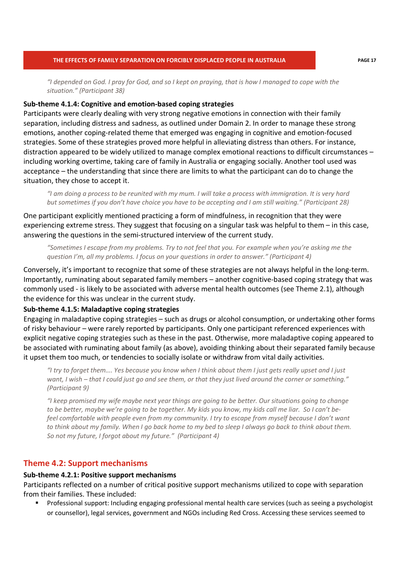*"I depended on God. I pray for God, and so I kept on praying, that is how I managed to cope with the situation." (Participant 38)* 

#### **Sub-theme 4.1.4: Cognitive and emotion-based coping strategies**

Participants were clearly dealing with very strong negative emotions in connection with their family separation, including distress and sadness, as outlined under Domain 2. In order to manage these strong emotions, another coping-related theme that emerged was engaging in cognitive and emotion-focused strategies. Some of these strategies proved more helpful in alleviating distress than others. For instance, distraction appeared to be widely utilized to manage complex emotional reactions to difficult circumstances – including working overtime, taking care of family in Australia or engaging socially. Another tool used was acceptance – the understanding that since there are limits to what the participant can do to change the situation, they chose to accept it.

*"I am doing a process to be reunited with my mum. I will take a process with immigration. It is very hard but sometimes if you don't have choice you have to be accepting and I am still waiting." (Participant 28)* 

One participant explicitly mentioned practicing a form of mindfulness, in recognition that they were experiencing extreme stress. They suggest that focusing on a singular task was helpful to them – in this case, answering the questions in the semi-structured interview of the current study.

*"Sometimes I escape from my problems. Try to not feel that you. For example when you're asking me the question I'm, all my problems. I focus on your questions in order to answer." (Participant 4)* 

Conversely, it's important to recognize that some of these strategies are not always helpful in the long-term. Importantly, ruminating about separated family members – another cognitive-based coping strategy that was commonly used - is likely to be associated with adverse mental health outcomes (see Theme 2.1), although the evidence for this was unclear in the current study.

#### **Sub-theme 4.1.5: Maladaptive coping strategies**

Engaging in maladaptive coping strategies – such as drugs or alcohol consumption, or undertaking other forms of risky behaviour – were rarely reported by participants. Only one participant referenced experiences with explicit negative coping strategies such as these in the past. Otherwise, more maladaptive coping appeared to be associated with ruminating about family (as above), avoiding thinking about their separated family because it upset them too much, or tendencies to socially isolate or withdraw from vital daily activities.

*"I try to forget them…. Yes because you know when I think about them I just gets really upset and I just want, I wish – that I could just go and see them, or that they just lived around the corner or something." (Participant 9)* 

*"I keep promised my wife maybe next year things are going to be better. Our situations going to change to be better, maybe we're going to be together. My kids you know, my kids call me liar. So I can't befeel comfortable with people even from my community. I try to escape from myself because I don't want to think about my family. When I go back home to my bed to sleep I always go back to think about them. So not my future, I forgot about my future." (Participant 4)* 

## **Theme 4.2: Support mechanisms**

#### **Sub-theme 4.2.1: Positive support mechanisms**

Participants reflected on a number of critical positive support mechanisms utilized to cope with separation from their families. These included:

 Professional support: Including engaging professional mental health care services (such as seeing a psychologist or counsellor), legal services, government and NGOs including Red Cross. Accessing these services seemed to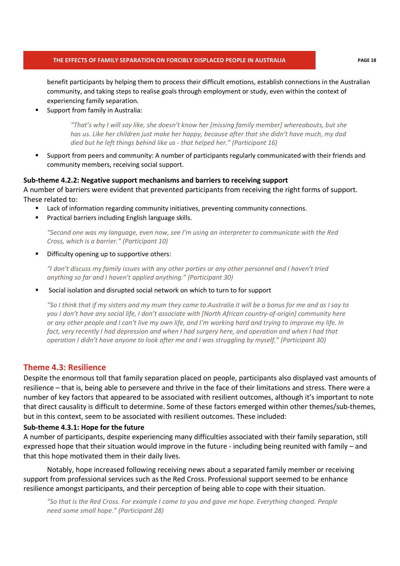benefit participants by helping them to process their difficult emotions, establish connections in the Australian community, and taking steps to realise goals through employment or study, even within the context of experiencing family separation.

Support from family in Australia:

*"That's why I will say like, she doesn't know her [missing family member] whereabouts, but she has us. Like her children just make her happy, because after that she didn't have much, my dad died but he left things behind like us - that helped her." (Participant 16)* 

 Support from peers and community: A number of participants regularly communicated with their friends and community members, receiving social support.

#### **Sub-theme 4.2.2: Negative support mechanisms and barriers to receiving support**

A number of barriers were evident that prevented participants from receiving the right forms of support. These related to:

- **EXECT** Lack of information regarding community initiatives, preventing community connections.
- Practical barriers including English language skills.

*"Second one was my language, even now, see I'm using an interpreter to communicate with the Red Cross, which is a barrier." (Participant 10)* 

Difficulty opening up to supportive others:

*"I don't discuss my family issues with any other parties or any other personnel and I haven't tried anything so far and I haven't applied anything." (Participant 30)* 

Social isolation and disrupted social network on which to turn to for support

*"So I think that if my sisters and my mum they come to Australia it will be a bonus for me and as I say to you I don't have any social life, I don't associate with [North African country-of-origin] community here or any other people and I can't live my own life, and I'm working hard and trying to improve my life. In*  fact, very recently I had depression and when I had surgery here, and operation and when I had that *operation I didn't have anyone to look after me and I was struggling by myself." (Participant 30)* 

## **Theme 4.3: Resilience**

Despite the enormous toll that family separation placed on people, participants also displayed vast amounts of resilience – that is, being able to persevere and thrive in the face of their limitations and stress. There were a number of key factors that appeared to be associated with resilient outcomes, although it's important to note that direct causality is difficult to determine. Some of these factors emerged within other themes/sub-themes, but in this context, seem to be associated with resilient outcomes. These included:

#### **Sub-theme 4.3.1: Hope for the future**

A number of participants, despite experiencing many difficulties associated with their family separation, still expressed hope that their situation would improve in the future - including being reunited with family – and that this hope motivated them in their daily lives.

Notably, hope increased following receiving news about a separated family member or receiving support from professional services such as the Red Cross. Professional support seemed to be enhance resilience amongst participants, and their perception of being able to cope with their situation.

*"So that is the Red Cross. For example I came to you and gave me hope. Everything changed. People need some small hope." (Participant 28)*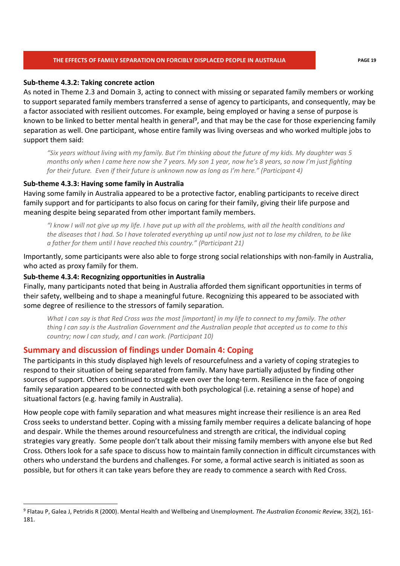#### **Sub-theme 4.3.2: Taking concrete action**

As noted in Theme 2.3 and Domain 3, acting to connect with missing or separated family members or working to support separated family members transferred a sense of agency to participants, and consequently, may be a factor associated with resilient outcomes. For example, being employed or having a sense of purpose is known to be linked to better mental health in general<sup>9</sup>, and that may be the case for those experiencing family separation as well. One participant, whose entire family was living overseas and who worked multiple jobs to support them said:

*"Six years without living with my family. But I'm thinking about the future of my kids. My daughter was 5 months only when I came here now she 7 years. My son 1 year, now he's 8 years, so now I'm just fighting for their future. Even if their future is unknown now as long as I'm here." (Participant 4)* 

#### **Sub-theme 4.3.3: Having some family in Australia**

Having some family in Australia appeared to be a protective factor, enabling participants to receive direct family support and for participants to also focus on caring for their family, giving their life purpose and meaning despite being separated from other important family members.

*"I know I will not give up my life. I have put up with all the problems, with all the health conditions and the diseases that I had. So I have tolerated everything up until now just not to lose my children, to be like a father for them until I have reached this country." (Participant 21)* 

Importantly, some participants were also able to forge strong social relationships with non-family in Australia, who acted as proxy family for them.

#### **Sub-theme 4.3.4: Recognizing opportunities in Australia**

Finally, many participants noted that being in Australia afforded them significant opportunities in terms of their safety, wellbeing and to shape a meaningful future. Recognizing this appeared to be associated with some degree of resilience to the stressors of family separation.

*What I can say is that Red Cross was the most [important] in my life to connect to my family. The other thing I can say is the Australian Government and the Australian people that accepted us to come to this country; now I can study, and I can work. (Participant 10)* 

### **Summary and discussion of findings under Domain 4: Coping**

The participants in this study displayed high levels of resourcefulness and a variety of coping strategies to respond to their situation of being separated from family. Many have partially adjusted by finding other sources of support. Others continued to struggle even over the long-term. Resilience in the face of ongoing family separation appeared to be connected with both psychological (i.e. retaining a sense of hope) and situational factors (e.g. having family in Australia).

How people cope with family separation and what measures might increase their resilience is an area Red Cross seeks to understand better. Coping with a missing family member requires a delicate balancing of hope and despair. While the themes around resourcefulness and strength are critical, the individual coping strategies vary greatly. Some people don't talk about their missing family members with anyone else but Red Cross. Others look for a safe space to discuss how to maintain family connection in difficult circumstances with others who understand the burdens and challenges. For some, a formal active search is initiated as soon as possible, but for others it can take years before they are ready to commence a search with Red Cross.

<sup>9</sup> Flatau P, Galea J, Petridis R (2000). Mental Health and Wellbeing and Unemployment. *The Australian Economic Review,* 33(2), 161- 181.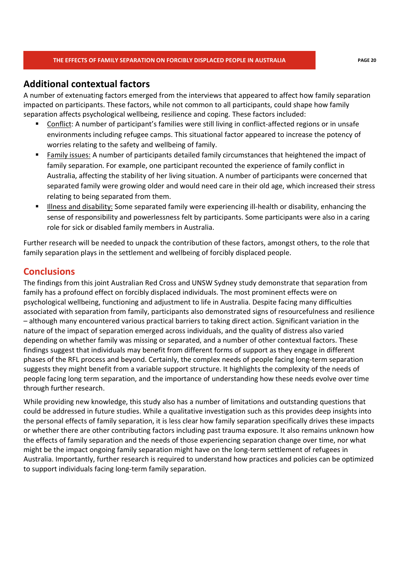## **Additional contextual factors**

A number of extenuating factors emerged from the interviews that appeared to affect how family separation impacted on participants. These factors, while not common to all participants, could shape how family separation affects psychological wellbeing, resilience and coping. These factors included:

- Conflict: A number of participant's families were still living in conflict-affected regions or in unsafe environments including refugee camps. This situational factor appeared to increase the potency of worries relating to the safety and wellbeing of family.
- Family issues: A number of participants detailed family circumstances that heightened the impact of family separation. For example, one participant recounted the experience of family conflict in Australia, affecting the stability of her living situation. A number of participants were concerned that separated family were growing older and would need care in their old age, which increased their stress relating to being separated from them.
- Illness and disability: Some separated family were experiencing ill-health or disability, enhancing the sense of responsibility and powerlessness felt by participants. Some participants were also in a caring role for sick or disabled family members in Australia.

Further research will be needed to unpack the contribution of these factors, amongst others, to the role that family separation plays in the settlement and wellbeing of forcibly displaced people.

## **Conclusions**

The findings from this joint Australian Red Cross and UNSW Sydney study demonstrate that separation from family has a profound effect on forcibly displaced individuals. The most prominent effects were on psychological wellbeing, functioning and adjustment to life in Australia. Despite facing many difficulties associated with separation from family, participants also demonstrated signs of resourcefulness and resilience – although many encountered various practical barriers to taking direct action. Significant variation in the nature of the impact of separation emerged across individuals, and the quality of distress also varied depending on whether family was missing or separated, and a number of other contextual factors. These findings suggest that individuals may benefit from different forms of support as they engage in different phases of the RFL process and beyond. Certainly, the complex needs of people facing long-term separation suggests they might benefit from a variable support structure. It highlights the complexity of the needs of people facing long term separation, and the importance of understanding how these needs evolve over time through further research.

While providing new knowledge, this study also has a number of limitations and outstanding questions that could be addressed in future studies. While a qualitative investigation such as this provides deep insights into the personal effects of family separation, it is less clear how family separation specifically drives these impacts or whether there are other contributing factors including past trauma exposure. It also remains unknown how the effects of family separation and the needs of those experiencing separation change over time, nor what might be the impact ongoing family separation might have on the long-term settlement of refugees in Australia. Importantly, further research is required to understand how practices and policies can be optimized to support individuals facing long-term family separation.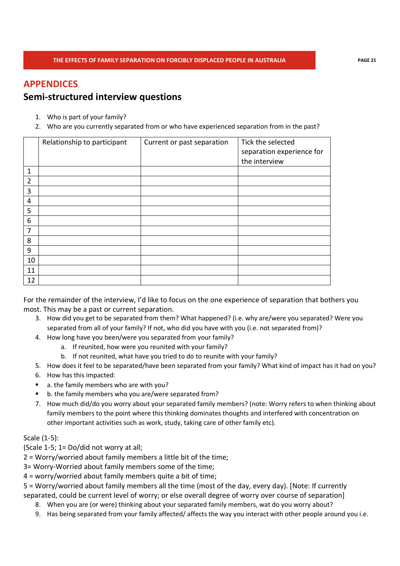## **APPENDICES**

## **Semi-structured interview questions**

- 1. Who is part of your family?
- 2. Who are you currently separated from or who have experienced separation from in the past?

|                | Relationship to participant | Current or past separation | Tick the selected<br>separation experience for<br>the interview |
|----------------|-----------------------------|----------------------------|-----------------------------------------------------------------|
| 1              |                             |                            |                                                                 |
| $\overline{2}$ |                             |                            |                                                                 |
| 3              |                             |                            |                                                                 |
| 4              |                             |                            |                                                                 |
| 5              |                             |                            |                                                                 |
| 6              |                             |                            |                                                                 |
| 7              |                             |                            |                                                                 |
| 8              |                             |                            |                                                                 |
| 9              |                             |                            |                                                                 |
| 10             |                             |                            |                                                                 |
| 11             |                             |                            |                                                                 |
| 12             |                             |                            |                                                                 |

For the remainder of the interview, I'd like to focus on the one experience of separation that bothers you most. This may be a past or current separation.

- 3. How did you get to be separated from them? What happened? (i.e. why are/were you separated? Were you separated from all of your family? If not, who did you have with you (i.e. not separated from)?
- 4. How long have you been/were you separated from your family?
	- a. If reunited, how were you reunited with your family?
	- b. If not reunited, what have you tried to do to reunite with your family?
- 5. How does it feel to be separated/have been separated from your family? What kind of impact has it had on you?
- 6. How has this impacted:
- a. the family members who are with you?
- b. the family members who you are/were separated from?
- 7. How much did/do you worry about your separated family members? (note: Worry refers to when thinking about family members to the point where this thinking dominates thoughts and interfered with concentration on other important activities such as work, study, taking care of other family etc).

### Scale (1-5):

(Scale 1-5; 1= Do/did not worry at all;

2 = Worry/worried about family members a little bit of the time;

3= Worry-Worried about family members some of the time;

4 = worry/worried about family members quite a bit of time;

5 = Worry/worried about family members all the time (most of the day, every day). [Note: If currently separated, could be current level of worry; or else overall degree of worry over course of separation]

- 8. When you are (or were) thinking about your separated family members, wat do you worry about?
- 9. Has being separated from your family affected/ affects the way you interact with other people around you i.e.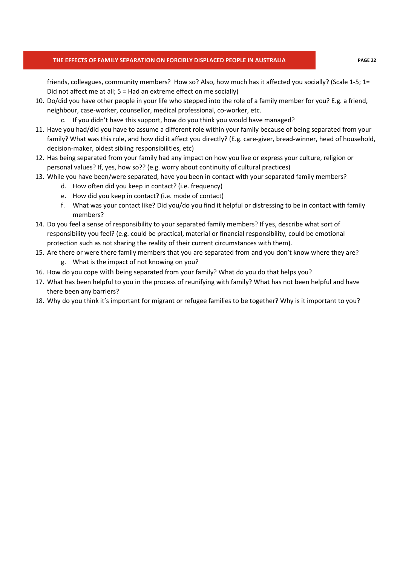friends, colleagues, community members? How so? Also, how much has it affected you socially? (Scale 1-5; 1= Did not affect me at all; 5 = Had an extreme effect on me socially)

- 10. Do/did you have other people in your life who stepped into the role of a family member for you? E.g. a friend, neighbour, case-worker, counsellor, medical professional, co-worker, etc.
	- c. If you didn't have this support, how do you think you would have managed?
- 11. Have you had/did you have to assume a different role within your family because of being separated from your family? What was this role, and how did it affect you directly? (E.g. care-giver, bread-winner, head of household, decision-maker, oldest sibling responsibilities, etc)
- 12. Has being separated from your family had any impact on how you live or express your culture, religion or personal values? If, yes, how so?? (e.g. worry about continuity of cultural practices)
- 13. While you have been/were separated, have you been in contact with your separated family members?
	- d. How often did you keep in contact? (i.e. frequency)
	- e. How did you keep in contact? (i.e. mode of contact)
	- f. What was your contact like? Did you/do you find it helpful or distressing to be in contact with family members?
- 14. Do you feel a sense of responsibility to your separated family members? If yes, describe what sort of responsibility you feel? (e.g. could be practical, material or financial responsibility, could be emotional protection such as not sharing the reality of their current circumstances with them).
- 15. Are there or were there family members that you are separated from and you don't know where they are?
	- g. What is the impact of not knowing on you?
- 16. How do you cope with being separated from your family? What do you do that helps you?
- 17. What has been helpful to you in the process of reunifying with family? What has not been helpful and have there been any barriers?
- 18. Why do you think it's important for migrant or refugee families to be together? Why is it important to you?